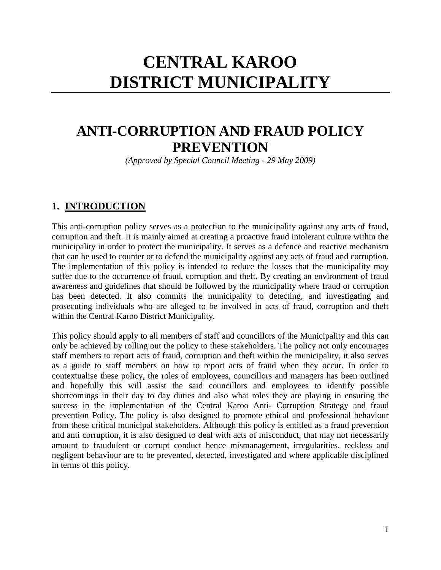# **CENTRAL KAROO DISTRICT MUNICIPALITY**

## **ANTI-CORRUPTION AND FRAUD POLICY PREVENTION**

*(Approved by Special Council Meeting - 29 May 2009)*

#### **1. INTRODUCTION**

This anti-corruption policy serves as a protection to the municipality against any acts of fraud, corruption and theft. It is mainly aimed at creating a proactive fraud intolerant culture within the municipality in order to protect the municipality. It serves as a defence and reactive mechanism that can be used to counter or to defend the municipality against any acts of fraud and corruption. The implementation of this policy is intended to reduce the losses that the municipality may suffer due to the occurrence of fraud, corruption and theft. By creating an environment of fraud awareness and guidelines that should be followed by the municipality where fraud or corruption has been detected. It also commits the municipality to detecting, and investigating and prosecuting individuals who are alleged to be involved in acts of fraud, corruption and theft within the Central Karoo District Municipality.

This policy should apply to all members of staff and councillors of the Municipality and this can only be achieved by rolling out the policy to these stakeholders. The policy not only encourages staff members to report acts of fraud, corruption and theft within the municipality, it also serves as a guide to staff members on how to report acts of fraud when they occur. In order to contextualise these policy, the roles of employees, councillors and managers has been outlined and hopefully this will assist the said councillors and employees to identify possible shortcomings in their day to day duties and also what roles they are playing in ensuring the success in the implementation of the Central Karoo Anti- Corruption Strategy and fraud prevention Policy. The policy is also designed to promote ethical and professional behaviour from these critical municipal stakeholders. Although this policy is entitled as a fraud prevention and anti corruption, it is also designed to deal with acts of misconduct, that may not necessarily amount to fraudulent or corrupt conduct hence mismanagement, irregularities, reckless and negligent behaviour are to be prevented, detected, investigated and where applicable disciplined in terms of this policy.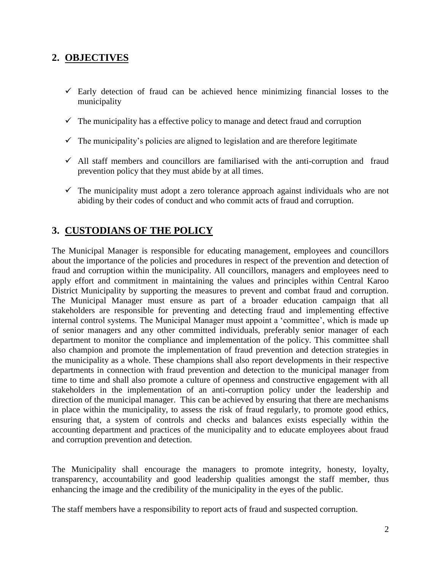#### **2. OBJECTIVES**

- $\checkmark$  Early detection of fraud can be achieved hence minimizing financial losses to the municipality
- $\checkmark$  The municipality has a effective policy to manage and detect fraud and corruption
- $\checkmark$  The municipality's policies are aligned to legislation and are therefore legitimate
- $\checkmark$  All staff members and councillors are familiarised with the anti-corruption and fraud prevention policy that they must abide by at all times.
- $\checkmark$  The municipality must adopt a zero tolerance approach against individuals who are not abiding by their codes of conduct and who commit acts of fraud and corruption.

#### **3. CUSTODIANS OF THE POLICY**

The Municipal Manager is responsible for educating management, employees and councillors about the importance of the policies and procedures in respect of the prevention and detection of fraud and corruption within the municipality. All councillors, managers and employees need to apply effort and commitment in maintaining the values and principles within Central Karoo District Municipality by supporting the measures to prevent and combat fraud and corruption. The Municipal Manager must ensure as part of a broader education campaign that all stakeholders are responsible for preventing and detecting fraud and implementing effective internal control systems. The Municipal Manager must appoint a 'committee', which is made up of senior managers and any other committed individuals, preferably senior manager of each department to monitor the compliance and implementation of the policy. This committee shall also champion and promote the implementation of fraud prevention and detection strategies in the municipality as a whole. These champions shall also report developments in their respective departments in connection with fraud prevention and detection to the municipal manager from time to time and shall also promote a culture of openness and constructive engagement with all stakeholders in the implementation of an anti-corruption policy under the leadership and direction of the municipal manager. This can be achieved by ensuring that there are mechanisms in place within the municipality, to assess the risk of fraud regularly, to promote good ethics, ensuring that, a system of controls and checks and balances exists especially within the accounting department and practices of the municipality and to educate employees about fraud and corruption prevention and detection.

The Municipality shall encourage the managers to promote integrity, honesty, loyalty, transparency, accountability and good leadership qualities amongst the staff member, thus enhancing the image and the credibility of the municipality in the eyes of the public.

The staff members have a responsibility to report acts of fraud and suspected corruption.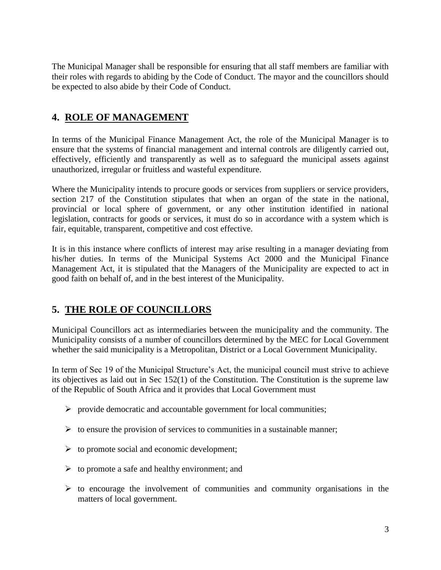The Municipal Manager shall be responsible for ensuring that all staff members are familiar with their roles with regards to abiding by the Code of Conduct. The mayor and the councillors should be expected to also abide by their Code of Conduct.

### **4. ROLE OF MANAGEMENT**

In terms of the Municipal Finance Management Act, the role of the Municipal Manager is to ensure that the systems of financial management and internal controls are diligently carried out, effectively, efficiently and transparently as well as to safeguard the municipal assets against unauthorized, irregular or fruitless and wasteful expenditure.

Where the Municipality intends to procure goods or services from suppliers or service providers, section 217 of the Constitution stipulates that when an organ of the state in the national, provincial or local sphere of government, or any other institution identified in national legislation, contracts for goods or services, it must do so in accordance with a system which is fair, equitable, transparent, competitive and cost effective.

It is in this instance where conflicts of interest may arise resulting in a manager deviating from his/her duties. In terms of the Municipal Systems Act 2000 and the Municipal Finance Management Act, it is stipulated that the Managers of the Municipality are expected to act in good faith on behalf of, and in the best interest of the Municipality.

### **5. THE ROLE OF COUNCILLORS**

Municipal Councillors act as intermediaries between the municipality and the community. The Municipality consists of a number of councillors determined by the MEC for Local Government whether the said municipality is a Metropolitan, District or a Local Government Municipality.

In term of Sec 19 of the Municipal Structure's Act, the municipal council must strive to achieve its objectives as laid out in Sec 152(1) of the Constitution. The Constitution is the supreme law of the Republic of South Africa and it provides that Local Government must

- $\triangleright$  provide democratic and accountable government for local communities;
- $\triangleright$  to ensure the provision of services to communities in a sustainable manner;
- $\triangleright$  to promote social and economic development;
- $\triangleright$  to promote a safe and healthy environment; and
- $\triangleright$  to encourage the involvement of communities and community organisations in the matters of local government.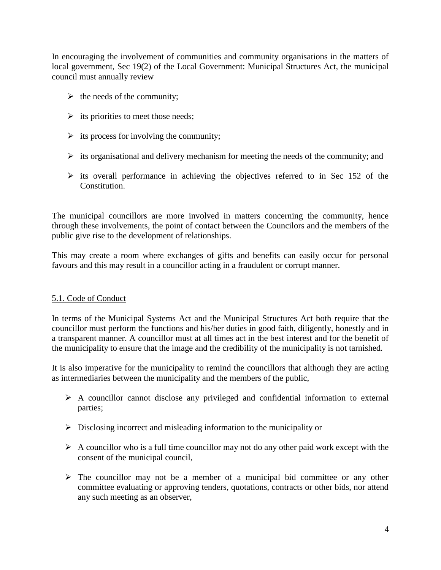In encouraging the involvement of communities and community organisations in the matters of local government, Sec 19(2) of the Local Government: Municipal Structures Act, the municipal council must annually review

- $\triangleright$  the needs of the community;
- $\triangleright$  its priorities to meet those needs;
- $\triangleright$  its process for involving the community;
- $\triangleright$  its organisational and delivery mechanism for meeting the needs of the community; and
- $\triangleright$  its overall performance in achieving the objectives referred to in Sec 152 of the Constitution.

The municipal councillors are more involved in matters concerning the community, hence through these involvements, the point of contact between the Councilors and the members of the public give rise to the development of relationships.

This may create a room where exchanges of gifts and benefits can easily occur for personal favours and this may result in a councillor acting in a fraudulent or corrupt manner.

#### 5.1. Code of Conduct

In terms of the Municipal Systems Act and the Municipal Structures Act both require that the councillor must perform the functions and his/her duties in good faith, diligently, honestly and in a transparent manner. A councillor must at all times act in the best interest and for the benefit of the municipality to ensure that the image and the credibility of the municipality is not tarnished.

It is also imperative for the municipality to remind the councillors that although they are acting as intermediaries between the municipality and the members of the public,

- $\triangleright$  A councillor cannot disclose any privileged and confidential information to external parties;
- $\triangleright$  Disclosing incorrect and misleading information to the municipality or
- $\triangleright$  A councillor who is a full time councillor may not do any other paid work except with the consent of the municipal council,
- $\triangleright$  The councillor may not be a member of a municipal bid committee or any other committee evaluating or approving tenders, quotations, contracts or other bids, nor attend any such meeting as an observer,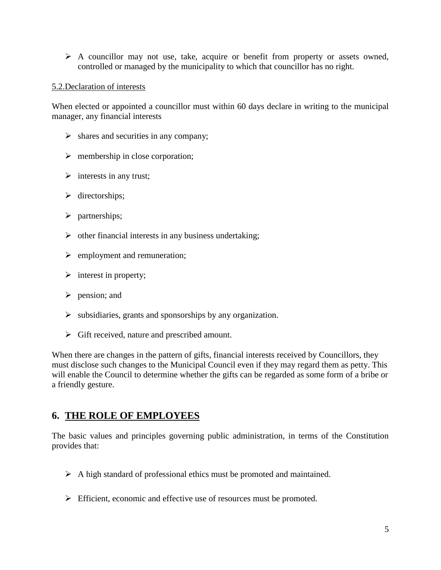A councillor may not use, take, acquire or benefit from property or assets owned, controlled or managed by the municipality to which that councillor has no right.

#### 5.2.Declaration of interests

When elected or appointed a councillor must within 60 days declare in writing to the municipal manager, any financial interests

- $\triangleright$  shares and securities in any company;
- $\triangleright$  membership in close corporation;
- $\triangleright$  interests in any trust;
- $\triangleright$  directorships;
- $\triangleright$  partnerships;
- $\triangleright$  other financial interests in any business undertaking;
- $\triangleright$  employment and remuneration;
- $\triangleright$  interest in property;
- $\triangleright$  pension; and
- $\triangleright$  subsidiaries, grants and sponsorships by any organization.
- $\triangleright$  Gift received, nature and prescribed amount.

When there are changes in the pattern of gifts, financial interests received by Councillors, they must disclose such changes to the Municipal Council even if they may regard them as petty. This will enable the Council to determine whether the gifts can be regarded as some form of a bribe or a friendly gesture.

#### **6. THE ROLE OF EMPLOYEES**

The basic values and principles governing public administration, in terms of the Constitution provides that:

- $\triangleright$  A high standard of professional ethics must be promoted and maintained.
- Efficient, economic and effective use of resources must be promoted.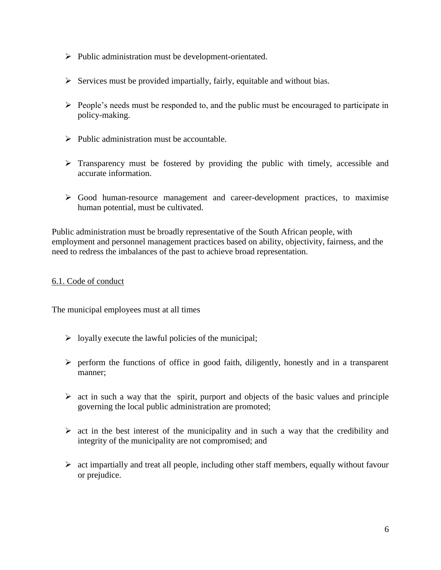- $\triangleright$  Public administration must be development-orientated.
- $\triangleright$  Services must be provided impartially, fairly, equitable and without bias.
- $\triangleright$  People's needs must be responded to, and the public must be encouraged to participate in policy-making.
- $\triangleright$  Public administration must be accountable.
- $\triangleright$  Transparency must be fostered by providing the public with timely, accessible and accurate information.
- $\triangleright$  Good human-resource management and career-development practices, to maximise human potential, must be cultivated.

Public administration must be broadly representative of the South African people, with employment and personnel management practices based on ability, objectivity, fairness, and the need to redress the imbalances of the past to achieve broad representation.

#### 6.1. Code of conduct

The municipal employees must at all times

- $\triangleright$  loyally execute the lawful policies of the municipal;
- $\triangleright$  perform the functions of office in good faith, diligently, honestly and in a transparent manner;
- $\triangleright$  act in such a way that the spirit, purport and objects of the basic values and principle governing the local public administration are promoted;
- $\triangleright$  act in the best interest of the municipality and in such a way that the credibility and integrity of the municipality are not compromised; and
- $\triangleright$  act impartially and treat all people, including other staff members, equally without favour or prejudice.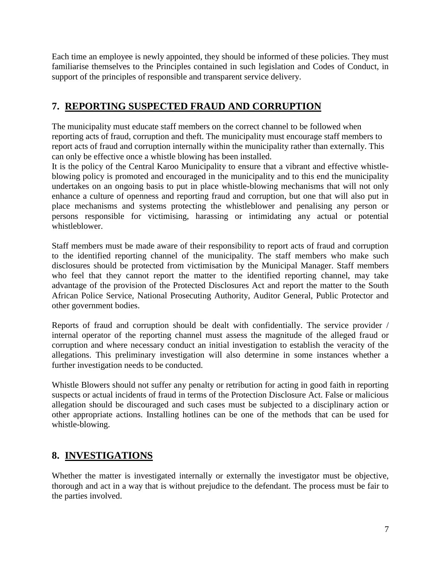Each time an employee is newly appointed, they should be informed of these policies. They must familiarise themselves to the Principles contained in such legislation and Codes of Conduct, in support of the principles of responsible and transparent service delivery.

## **7. REPORTING SUSPECTED FRAUD AND CORRUPTION**

The municipality must educate staff members on the correct channel to be followed when reporting acts of fraud, corruption and theft. The municipality must encourage staff members to report acts of fraud and corruption internally within the municipality rather than externally. This can only be effective once a whistle blowing has been installed.

It is the policy of the Central Karoo Municipality to ensure that a vibrant and effective whistleblowing policy is promoted and encouraged in the municipality and to this end the municipality undertakes on an ongoing basis to put in place whistle-blowing mechanisms that will not only enhance a culture of openness and reporting fraud and corruption, but one that will also put in place mechanisms and systems protecting the whistleblower and penalising any person or persons responsible for victimising, harassing or intimidating any actual or potential whistleblower.

Staff members must be made aware of their responsibility to report acts of fraud and corruption to the identified reporting channel of the municipality. The staff members who make such disclosures should be protected from victimisation by the Municipal Manager. Staff members who feel that they cannot report the matter to the identified reporting channel, may take advantage of the provision of the Protected Disclosures Act and report the matter to the South African Police Service, National Prosecuting Authority, Auditor General, Public Protector and other government bodies.

Reports of fraud and corruption should be dealt with confidentially. The service provider / internal operator of the reporting channel must assess the magnitude of the alleged fraud or corruption and where necessary conduct an initial investigation to establish the veracity of the allegations. This preliminary investigation will also determine in some instances whether a further investigation needs to be conducted.

Whistle Blowers should not suffer any penalty or retribution for acting in good faith in reporting suspects or actual incidents of fraud in terms of the Protection Disclosure Act. False or malicious allegation should be discouraged and such cases must be subjected to a disciplinary action or other appropriate actions. Installing hotlines can be one of the methods that can be used for whistle-blowing.

### **8. INVESTIGATIONS**

Whether the matter is investigated internally or externally the investigator must be objective, thorough and act in a way that is without prejudice to the defendant. The process must be fair to the parties involved.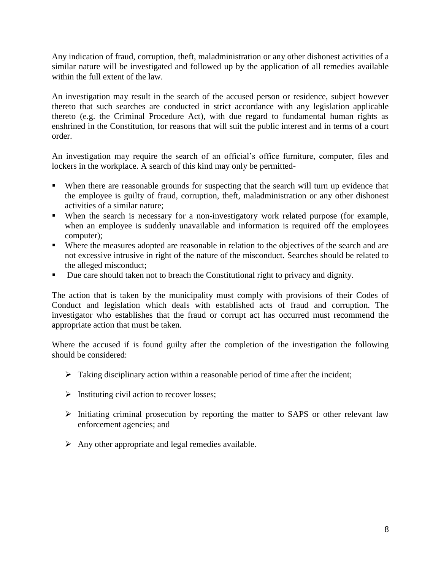Any indication of fraud, corruption, theft, maladministration or any other dishonest activities of a similar nature will be investigated and followed up by the application of all remedies available within the full extent of the law.

An investigation may result in the search of the accused person or residence, subject however thereto that such searches are conducted in strict accordance with any legislation applicable thereto (e.g. the Criminal Procedure Act), with due regard to fundamental human rights as enshrined in the Constitution, for reasons that will suit the public interest and in terms of a court order.

An investigation may require the search of an official's office furniture, computer, files and lockers in the workplace. A search of this kind may only be permitted-

- When there are reasonable grounds for suspecting that the search will turn up evidence that the employee is guilty of fraud, corruption, theft, maladministration or any other dishonest activities of a similar nature;
- When the search is necessary for a non-investigatory work related purpose (for example, when an employee is suddenly unavailable and information is required off the employees computer);
- Where the measures adopted are reasonable in relation to the objectives of the search and are not excessive intrusive in right of the nature of the misconduct. Searches should be related to the alleged misconduct;
- Due care should taken not to breach the Constitutional right to privacy and dignity.

The action that is taken by the municipality must comply with provisions of their Codes of Conduct and legislation which deals with established acts of fraud and corruption. The investigator who establishes that the fraud or corrupt act has occurred must recommend the appropriate action that must be taken.

Where the accused if is found guilty after the completion of the investigation the following should be considered:

- $\triangleright$  Taking disciplinary action within a reasonable period of time after the incident;
- $\triangleright$  Instituting civil action to recover losses;
- $\triangleright$  Initiating criminal prosecution by reporting the matter to SAPS or other relevant law enforcement agencies; and
- $\triangleright$  Any other appropriate and legal remedies available.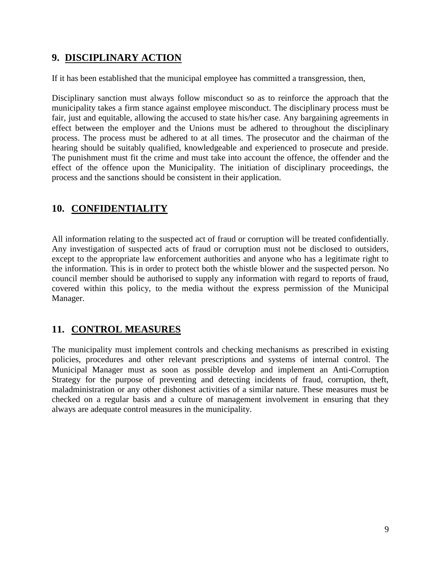## **9. DISCIPLINARY ACTION**

If it has been established that the municipal employee has committed a transgression, then,

Disciplinary sanction must always follow misconduct so as to reinforce the approach that the municipality takes a firm stance against employee misconduct. The disciplinary process must be fair, just and equitable, allowing the accused to state his/her case. Any bargaining agreements in effect between the employer and the Unions must be adhered to throughout the disciplinary process. The process must be adhered to at all times. The prosecutor and the chairman of the hearing should be suitably qualified, knowledgeable and experienced to prosecute and preside. The punishment must fit the crime and must take into account the offence, the offender and the effect of the offence upon the Municipality. The initiation of disciplinary proceedings, the process and the sanctions should be consistent in their application.

## **10. CONFIDENTIALITY**

All information relating to the suspected act of fraud or corruption will be treated confidentially. Any investigation of suspected acts of fraud or corruption must not be disclosed to outsiders, except to the appropriate law enforcement authorities and anyone who has a legitimate right to the information. This is in order to protect both the whistle blower and the suspected person. No council member should be authorised to supply any information with regard to reports of fraud, covered within this policy, to the media without the express permission of the Municipal Manager.

### **11. CONTROL MEASURES**

The municipality must implement controls and checking mechanisms as prescribed in existing policies, procedures and other relevant prescriptions and systems of internal control. The Municipal Manager must as soon as possible develop and implement an Anti-Corruption Strategy for the purpose of preventing and detecting incidents of fraud, corruption, theft, maladministration or any other dishonest activities of a similar nature. These measures must be checked on a regular basis and a culture of management involvement in ensuring that they always are adequate control measures in the municipality.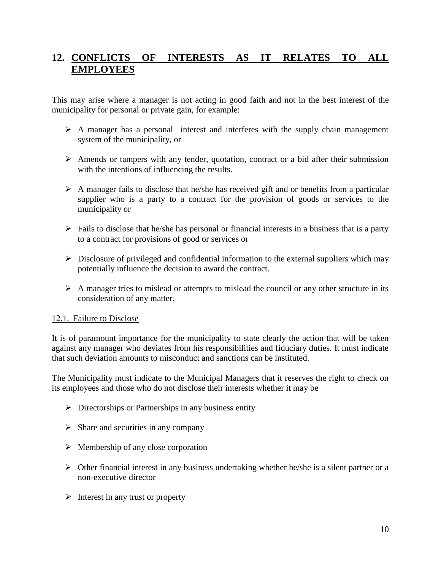## **12. CONFLICTS OF INTERESTS AS IT RELATES TO ALL EMPLOYEES**

This may arise where a manager is not acting in good faith and not in the best interest of the municipality for personal or private gain, for example:

- $\triangleright$  A manager has a personal interest and interferes with the supply chain management system of the municipality, or
- $\triangleright$  Amends or tampers with any tender, quotation, contract or a bid after their submission with the intentions of influencing the results.
- $\triangleright$  A manager fails to disclose that he/she has received gift and or benefits from a particular supplier who is a party to a contract for the provision of goods or services to the municipality or
- $\triangleright$  Fails to disclose that he/she has personal or financial interests in a business that is a party to a contract for provisions of good or services or
- $\triangleright$  Disclosure of privileged and confidential information to the external suppliers which may potentially influence the decision to award the contract.
- $\triangleright$  A manager tries to mislead or attempts to mislead the council or any other structure in its consideration of any matter.

#### 12.1. Failure to Disclose

It is of paramount importance for the municipality to state clearly the action that will be taken against any manager who deviates from his responsibilities and fiduciary duties. It must indicate that such deviation amounts to misconduct and sanctions can be instituted.

The Municipality must indicate to the Municipal Managers that it reserves the right to check on its employees and those who do not disclose their interests whether it may be

- $\triangleright$  Directorships or Partnerships in any business entity
- $\triangleright$  Share and securities in any company
- $\triangleright$  Membership of any close corporation
- $\triangleright$  Other financial interest in any business undertaking whether he/she is a silent partner or a non-executive director
- $\triangleright$  Interest in any trust or property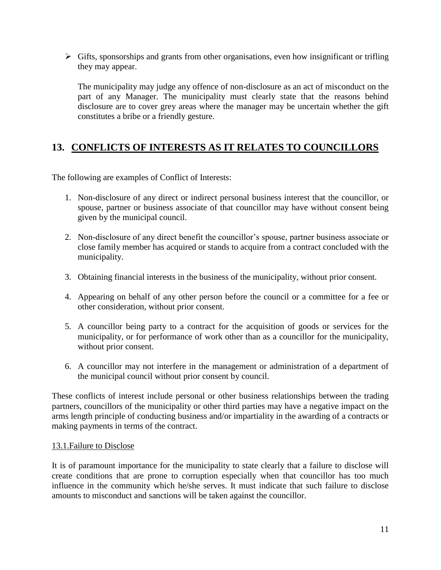$\triangleright$  Gifts, sponsorships and grants from other organisations, even how insignificant or trifling they may appear.

The municipality may judge any offence of non-disclosure as an act of misconduct on the part of any Manager. The municipality must clearly state that the reasons behind disclosure are to cover grey areas where the manager may be uncertain whether the gift constitutes a bribe or a friendly gesture.

## **13. CONFLICTS OF INTERESTS AS IT RELATES TO COUNCILLORS**

The following are examples of Conflict of Interests:

- 1. Non-disclosure of any direct or indirect personal business interest that the councillor, or spouse, partner or business associate of that councillor may have without consent being given by the municipal council.
- 2. Non-disclosure of any direct benefit the councillor's spouse, partner business associate or close family member has acquired or stands to acquire from a contract concluded with the municipality.
- 3. Obtaining financial interests in the business of the municipality, without prior consent.
- 4. Appearing on behalf of any other person before the council or a committee for a fee or other consideration, without prior consent.
- 5. A councillor being party to a contract for the acquisition of goods or services for the municipality, or for performance of work other than as a councillor for the municipality, without prior consent.
- 6. A councillor may not interfere in the management or administration of a department of the municipal council without prior consent by council.

These conflicts of interest include personal or other business relationships between the trading partners, councillors of the municipality or other third parties may have a negative impact on the arms length principle of conducting business and/or impartiality in the awarding of a contracts or making payments in terms of the contract.

#### 13.1.Failure to Disclose

It is of paramount importance for the municipality to state clearly that a failure to disclose will create conditions that are prone to corruption especially when that councillor has too much influence in the community which he/she serves. It must indicate that such failure to disclose amounts to misconduct and sanctions will be taken against the councillor.